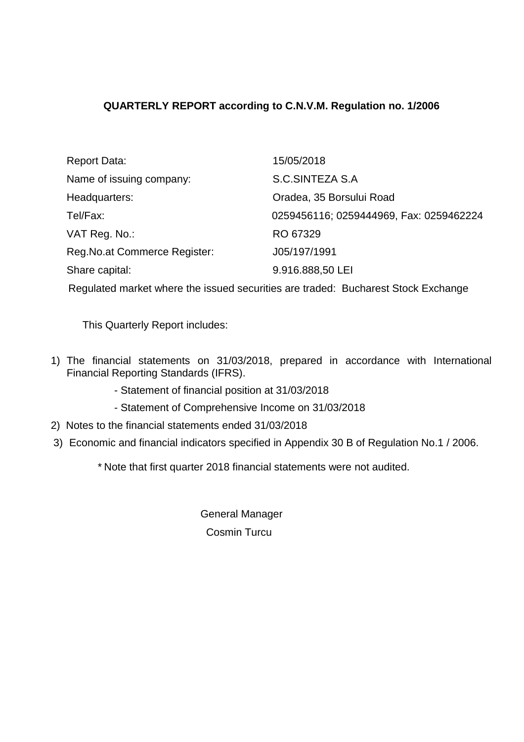# **QUARTERLY REPORT according to C.N.V.M. Regulation no. 1/2006**

| Report Data:                   | 15/05/2018                              |
|--------------------------------|-----------------------------------------|
| Name of issuing company:       | S.C.SINTEZA S.A                         |
| Headquarters:                  | Oradea, 35 Borsului Road                |
| Tel/Fax:                       | 0259456116; 0259444969, Fax: 0259462224 |
| VAT Reg. No.:                  | RO 67329                                |
| Reg. No. at Commerce Register: | J05/197/1991                            |
| Share capital:                 | 9.916.888,50 LEI                        |
|                                |                                         |

Regulated market where the issued securities are traded: Bucharest Stock Exchange

This Quarterly Report includes:

- 1) The financial statements on 31/03/2018, prepared in accordance with International Financial Reporting Standards (IFRS).
	- Statement of financial position at 31/03/2018
	- Statement of Comprehensive Income on 31/03/2018
- 2) Notes to the financial statements ended 31/03/2018
- 3) Economic and financial indicators specified in Appendix 30 B of Regulation No.1 / 2006.

\* Note that first quarter 2018 financial statements were not audited.

General Manager Cosmin Turcu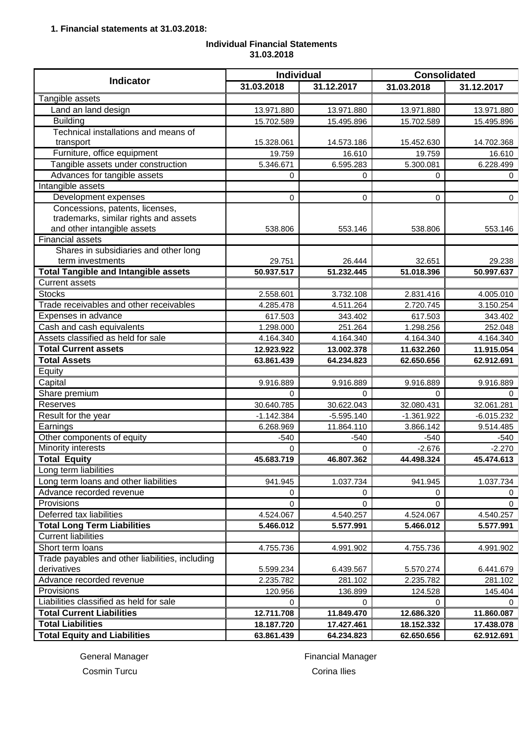## **Individual Financial Statements 31.03.2018**

|                                                 | <b>Individual</b> |              | <b>Consolidated</b> |              |
|-------------------------------------------------|-------------------|--------------|---------------------|--------------|
| <b>Indicator</b>                                | 31.03.2018        | 31.12.2017   | 31.03.2018          | 31.12.2017   |
| Tangible assets                                 |                   |              |                     |              |
| Land an land design                             | 13.971.880        | 13.971.880   | 13.971.880          | 13.971.880   |
| <b>Building</b>                                 | 15.702.589        | 15.495.896   | 15.702.589          | 15.495.896   |
| Technical installations and means of            |                   |              |                     |              |
| transport                                       | 15.328.061        | 14.573.186   | 15.452.630          | 14.702.368   |
| Furniture, office equipment                     | 19.759            | 16.610       | 19.759              | 16.610       |
| Tangible assets under construction              | 5.346.671         | 6.595.283    | 5.300.081           | 6.228.499    |
| Advances for tangible assets                    | $\Omega$          | 0            | 0                   | 0            |
| Intangible assets                               |                   |              |                     |              |
| Development expenses                            | $\Omega$          | 0            | 0                   | 0            |
| Concessions, patents, licenses,                 |                   |              |                     |              |
| trademarks, similar rights and assets           |                   |              |                     |              |
| and other intangible assets                     | 538.806           | 553.146      | 538.806             | 553.146      |
| <b>Financial assets</b>                         |                   |              |                     |              |
| Shares in subsidiaries and other long           |                   |              |                     |              |
| term investments                                | 29.751            | 26.444       | 32.651              | 29.238       |
| <b>Total Tangible and Intangible assets</b>     | 50.937.517        | 51.232.445   | 51.018.396          | 50.997.637   |
| <b>Current assets</b>                           |                   |              |                     |              |
| <b>Stocks</b>                                   | 2.558.601         | 3.732.108    | 2.831.416           | 4.005.010    |
| Trade receivables and other receivables         | 4.285.478         | 4.511.264    | 2.720.745           | 3.150.254    |
| Expenses in advance                             | 617.503           | 343.402      | 617.503             | 343.402      |
| Cash and cash equivalents                       | 1.298.000         | 251.264      | 1.298.256           | 252.048      |
| Assets classified as held for sale              | 4.164.340         | 4.164.340    | 4.164.340           | 4.164.340    |
| <b>Total Current assets</b>                     | 12.923.922        | 13.002.378   | 11.632.260          | 11.915.054   |
| <b>Total Assets</b>                             | 63.861.439        | 64.234.823   | 62.650.656          | 62.912.691   |
| Equity                                          |                   |              |                     |              |
| Capital                                         | 9.916.889         | 9.916.889    | 9.916.889           | 9.916.889    |
| Share premium                                   | 0                 | 0            | 0                   | 0            |
| Reserves                                        | 30.640.785        | 30.622.043   | 32.080.431          | 32.061.281   |
| Result for the year                             | $-1.142.384$      | $-5.595.140$ | $-1.361.922$        | $-6.015.232$ |
| Earnings                                        | 6.268.969         | 11.864.110   | 3.866.142           | 9.514.485    |
| Other components of equity                      | $-540$            | $-540$       | $-540$              | $-540$       |
| Minority interests                              | 0                 | 0            | $-2.676$            | $-2.270$     |
| <b>Total Equity</b>                             | 45.683.719        | 46.807.362   | 44.498.324          | 45.474.613   |
| Long term liabilities                           |                   |              |                     |              |
| Long term loans and other liabilities           | 941.945           | 1.037.734    | 941.945             | 1.037.734    |
| Advance recorded revenue                        | 0                 | 0            | 0                   | 0            |
| Provisions                                      | 0                 | 0            | 0                   | 0            |
| Deferred tax liabilities                        | 4.524.067         | 4.540.257    | 4.524.067           | 4.540.257    |
| <b>Total Long Term Liabilities</b>              | 5.466.012         | 5.577.991    | 5.466.012           | 5.577.991    |
| <b>Current liabilities</b>                      |                   |              |                     |              |
| Short term loans                                | 4.755.736         | 4.991.902    | 4.755.736           | 4.991.902    |
| Trade payables and other liabilities, including |                   |              |                     |              |
| derivatives                                     | 5.599.234         | 6.439.567    | 5.570.274           | 6.441.679    |
| Advance recorded revenue                        | 2.235.782         | 281.102      | 2.235.782           | 281.102      |
| Provisions                                      | 120.956           | 136.899      | 124.528             | 145.404      |
| Liabilities classified as held for sale         | 0                 | 0            | 0                   | 0            |
| <b>Total Current Liabilities</b>                | 12.711.708        | 11.849.470   | 12.686.320          | 11.860.087   |
| <b>Total Liabilities</b>                        | 18.187.720        | 17.427.461   | 18.152.332          | 17.438.078   |
| <b>Total Equity and Liabilities</b>             | 63.861.439        | 64.234.823   | 62.650.656          | 62.912.691   |

General Manager **Financial Manager Financial Manager** 

Cosmin Turcu Corina Ilies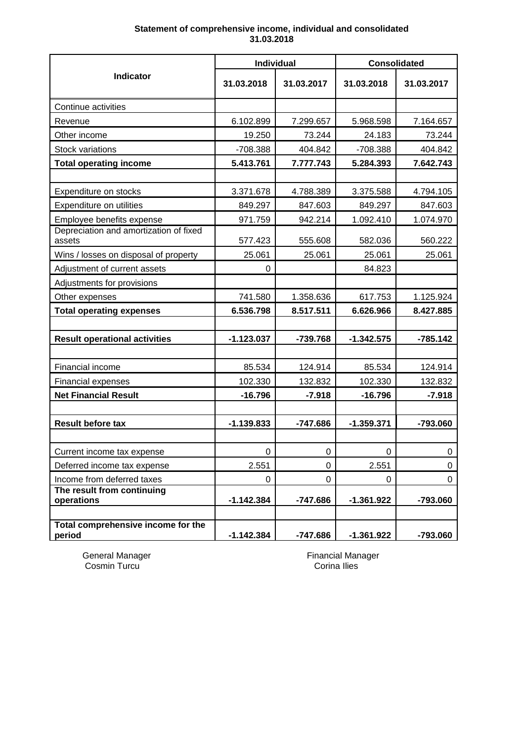## **Statement of comprehensive income, individual and consolidated 31.03.2018**

|                                              | Individual   |            | <b>Consolidated</b> |            |
|----------------------------------------------|--------------|------------|---------------------|------------|
| <b>Indicator</b>                             | 31.03.2018   | 31.03.2017 | 31.03.2018          | 31.03.2017 |
| Continue activities                          |              |            |                     |            |
| Revenue                                      | 6.102.899    | 7.299.657  | 5.968.598           | 7.164.657  |
| Other income                                 | 19.250       | 73.244     | 24.183              | 73.244     |
| <b>Stock variations</b>                      | -708.388     | 404.842    | -708.388            | 404.842    |
| <b>Total operating income</b>                | 5.413.761    | 7.777.743  | 5.284.393           | 7.642.743  |
|                                              |              |            |                     |            |
| Expenditure on stocks                        | 3.371.678    | 4.788.389  | 3.375.588           | 4.794.105  |
| Expenditure on utilities                     | 849.297      | 847.603    | 849.297             | 847.603    |
| Employee benefits expense                    | 971.759      | 942.214    | 1.092.410           | 1.074.970  |
| Depreciation and amortization of fixed       |              |            |                     |            |
| assets                                       | 577.423      | 555.608    | 582.036             | 560.222    |
| Wins / losses on disposal of property        | 25.061       | 25.061     | 25.061              | 25.061     |
| Adjustment of current assets                 | 0            |            | 84.823              |            |
| Adjustments for provisions                   |              |            |                     |            |
| Other expenses                               | 741.580      | 1.358.636  | 617.753             | 1.125.924  |
| <b>Total operating expenses</b>              | 6.536.798    | 8.517.511  | 6.626.966           | 8.427.885  |
|                                              |              |            |                     |            |
| <b>Result operational activities</b>         | $-1.123.037$ | -739.768   | $-1.342.575$        | $-785.142$ |
|                                              |              |            |                     |            |
| Financial income                             | 85.534       | 124.914    | 85.534              | 124.914    |
| <b>Financial expenses</b>                    | 102.330      | 132.832    | 102.330             | 132.832    |
| <b>Net Financial Result</b>                  | $-16.796$    | $-7.918$   | $-16.796$           | $-7.918$   |
|                                              |              |            |                     |            |
| <b>Result before tax</b>                     | $-1.139.833$ | $-747.686$ | $-1.359.371$        | -793.060   |
|                                              |              |            |                     |            |
| Current income tax expense                   | 0            | 0          | 0                   | 0          |
| Deferred income tax expense                  | 2.551        | 0          | 2.551               | 0          |
| Income from deferred taxes                   | 0            | 0          | 0                   | 0          |
| The result from continuing<br>operations     | $-1.142.384$ | -747.686   | $-1.361.922$        | -793.060   |
|                                              |              |            |                     |            |
| Total comprehensive income for the<br>period | $-1.142.384$ | $-747.686$ | $-1.361.922$        | -793.060   |

General Manager<br>Cosmin Turcu

Financial Manager<br>Corina Ilies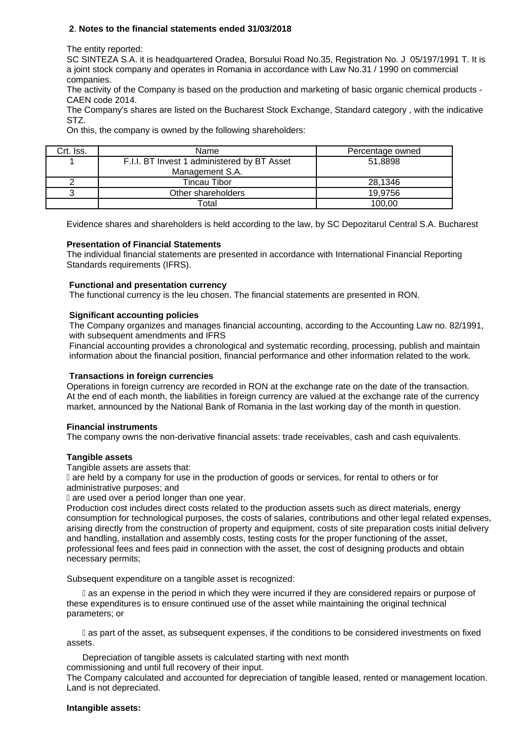## **2**. **Notes to the financial statements ended 31/03/2018**

The entity reported:

SC SINTEZA S.A. it is headquartered Oradea, Borsului Road No.35, Registration No. J 05/197/1991 T. It is a joint stock company and operates in Romania in accordance with Law No.31 / 1990 on commercial companies.

The activity of the Company is based on the production and marketing of basic organic chemical products - CAEN code 2014.

The Company's shares are listed on the Bucharest Stock Exchange, Standard category , with the indicative STZ.

On this, the company is owned by the following shareholders:

| Crt. Iss. | Name                                        | Percentage owned |
|-----------|---------------------------------------------|------------------|
|           | F.I.I. BT Invest 1 administered by BT Asset | 51.8898          |
|           | Management S.A.                             |                  |
|           | Tincau Tibor                                | 28,1346          |
|           | Other shareholders                          | 19.9756          |
|           | Total                                       | 100.00           |

Evidence shares and shareholders is held according to the law, by SC Depozitarul Central S.A. Bucharest

#### **Presentation of Financial Statements**

The individual financial statements are presented in accordance with International Financial Reporting Standards requirements (IFRS).

#### **Functional and presentation currency**

The functional currency is the leu chosen. The financial statements are presented in RON.

#### **Significant accounting policies**

The Company organizes and manages financial accounting, according to the Accounting Law no. 82/1991, with subsequent amendments and IFRS

Financial accounting provides a chronological and systematic recording, processing, publish and maintain information about the financial position, financial performance and other information related to the work.

#### **Transactions in foreign currencies**

Operations in foreign currency are recorded in RON at the exchange rate on the date of the transaction. At the end of each month, the liabilities in foreign currency are valued at the exchange rate of the currency market, announced by the National Bank of Romania in the last working day of the month in question.

#### **Financial instruments**

The company owns the non-derivative financial assets: trade receivables, cash and cash equivalents.

#### **Tangible assets**

Tangible assets are assets that:

 are held by a company for use in the production of goods or services, for rental to others or for administrative purposes; and

**are used over a period longer than one year.** 

Production cost includes direct costs related to the production assets such as direct materials, energy consumption for technological purposes, the costs of salaries, contributions and other legal related expenses, arising directly from the construction of property and equipment, costs of site preparation costs initial delivery and handling, installation and assembly costs, testing costs for the proper functioning of the asset, professional fees and fees paid in connection with the asset, the cost of designing products and obtain necessary permits;

Subsequent expenditure on a tangible asset is recognized:

 as an expense in the period in which they were incurred if they are considered repairs or purpose of these expenditures is to ensure continued use of the asset while maintaining the original technical parameters; or

 as part of the asset, as subsequent expenses, if the conditions to be considered investments on fixed assets.

Depreciation of tangible assets is calculated starting with next month commissioning and until full recovery of their input.

The Company calculated and accounted for depreciation of tangible leased, rented or management location. Land is not depreciated.

#### **Intangible assets:**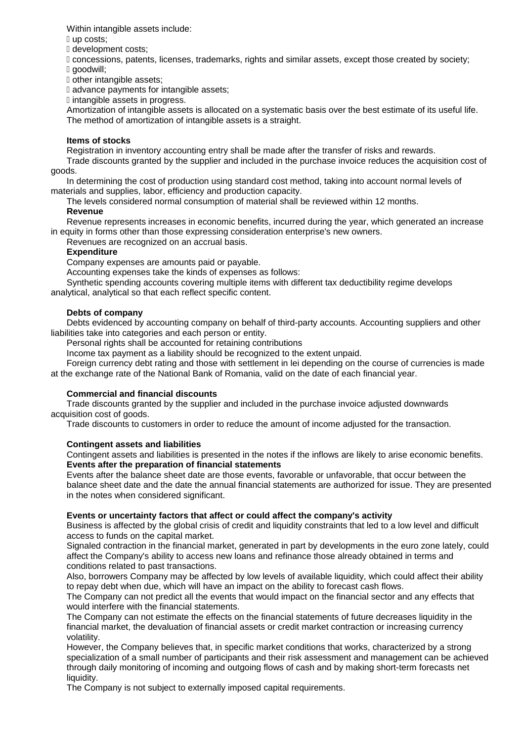Within intangible assets include:

up costs;

development costs;

 concessions, patents, licenses, trademarks, rights and similar assets, except those created by society; goodwill;

other intangible assets;

advance payments for intangible assets;

intangible assets in progress.

Amortization of intangible assets is allocated on a systematic basis over the best estimate of its useful life. The method of amortization of intangible assets is a straight.

## **Items of stocks**

Registration in inventory accounting entry shall be made after the transfer of risks and rewards.

Trade discounts granted by the supplier and included in the purchase invoice reduces the acquisition cost of goods.

In determining the cost of production using standard cost method, taking into account normal levels of materials and supplies, labor, efficiency and production capacity.

The levels considered normal consumption of material shall be reviewed within 12 months.

## **Revenue**

Revenue represents increases in economic benefits, incurred during the year, which generated an increase in equity in forms other than those expressing consideration enterprise's new owners.

Revenues are recognized on an accrual basis.

## **Expenditure**

Company expenses are amounts paid or payable.

Accounting expenses take the kinds of expenses as follows:

Synthetic spending accounts covering multiple items with different tax deductibility regime develops analytical, analytical so that each reflect specific content.

## **Debts of company**

Debts evidenced by accounting company on behalf of third-party accounts. Accounting suppliers and other liabilities take into categories and each person or entity.

Personal rights shall be accounted for retaining contributions

Income tax payment as a liability should be recognized to the extent unpaid.

Foreign currency debt rating and those with settlement in lei depending on the course of currencies is made at the exchange rate of the National Bank of Romania, valid on the date of each financial year.

## **Commercial and financial discounts**

Trade discounts granted by the supplier and included in the purchase invoice adjusted downwards acquisition cost of goods.

Trade discounts to customers in order to reduce the amount of income adjusted for the transaction.

#### **Contingent assets and liabilities**

Contingent assets and liabilities is presented in the notes if the inflows are likely to arise economic benefits. **Events after the preparation of financial statements**

Events after the balance sheet date are those events, favorable or unfavorable, that occur between the balance sheet date and the date the annual financial statements are authorized for issue. They are presented in the notes when considered significant.

## **Events or uncertainty factors that affect or could affect the company's activity**

Business is affected by the global crisis of credit and liquidity constraints that led to a low level and difficult access to funds on the capital market.

Signaled contraction in the financial market, generated in part by developments in the euro zone lately, could affect the Company's ability to access new loans and refinance those already obtained in terms and conditions related to past transactions.

Also, borrowers Company may be affected by low levels of available liquidity, which could affect their ability to repay debt when due, which will have an impact on the ability to forecast cash flows.

The Company can not predict all the events that would impact on the financial sector and any effects that would interfere with the financial statements.

The Company can not estimate the effects on the financial statements of future decreases liquidity in the financial market, the devaluation of financial assets or credit market contraction or increasing currency volatility.

However, the Company believes that, in specific market conditions that works, characterized by a strong specialization of a small number of participants and their risk assessment and management can be achieved through daily monitoring of incoming and outgoing flows of cash and by making short-term forecasts net liquidity.

The Company is not subject to externally imposed capital requirements.